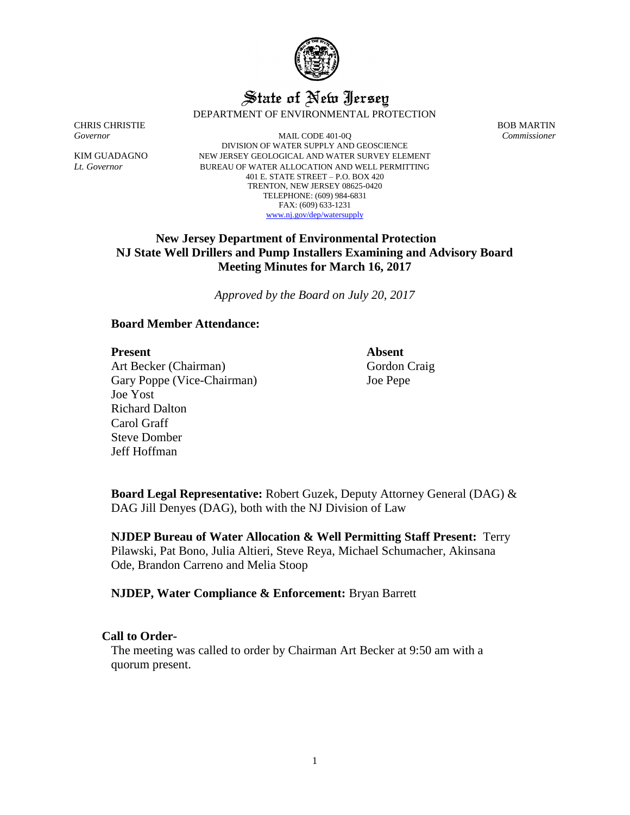

# State of New Jersey DEPARTMENT OF ENVIRONMENTAL PROTECTION

CHRIS CHRISTIE BOB MARTIN

*Governor* MAIL CODE 401-0Q *Commissioner* DIVISION OF WATER SUPPLY AND GEOSCIENCE KIM GUADAGNO NEW JERSEY GEOLOGICAL AND WATER SURVEY ELEMENT *Lt. Governor* BUREAU OF WATER ALLOCATION AND WELL PERMITTING 401 E. STATE STREET – P.O. BOX 420 TRENTON, NEW JERSEY 08625-0420 TELEPHONE: (609) 984-6831 FAX: (609) 633-1231 [www.nj.gov/dep/watersupply](http://www.nj.gov/dep/watersupply)

# **New Jersey Department of Environmental Protection NJ State Well Drillers and Pump Installers Examining and Advisory Board Meeting Minutes for March 16, 2017**

*Approved by the Board on July 20, 2017*

# **Board Member Attendance:**

## **Present** Absent

Art Becker (Chairman) Gary Poppe (Vice-Chairman) Joe Yost Richard Dalton Carol Graff Steve Domber Jeff Hoffman

Gordon Craig Joe Pepe

**Board Legal Representative:** Robert Guzek, Deputy Attorney General (DAG) & DAG Jill Denyes (DAG), both with the NJ Division of Law

**NJDEP Bureau of Water Allocation & Well Permitting Staff Present:** Terry Pilawski, Pat Bono, Julia Altieri, Steve Reya, Michael Schumacher, Akinsana Ode, Brandon Carreno and Melia Stoop

**NJDEP, Water Compliance & Enforcement:** Bryan Barrett

# **Call to Order-**

The meeting was called to order by Chairman Art Becker at 9:50 am with a quorum present.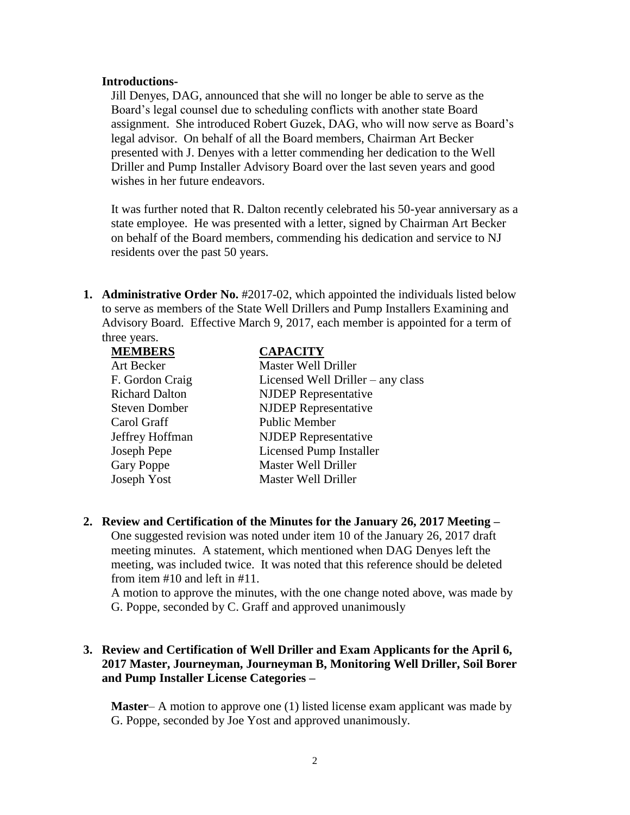#### **Introductions-**

Jill Denyes, DAG, announced that she will no longer be able to serve as the Board's legal counsel due to scheduling conflicts with another state Board assignment. She introduced Robert Guzek, DAG, who will now serve as Board's legal advisor. On behalf of all the Board members, Chairman Art Becker presented with J. Denyes with a letter commending her dedication to the Well Driller and Pump Installer Advisory Board over the last seven years and good wishes in her future endeavors.

It was further noted that R. Dalton recently celebrated his 50-year anniversary as a state employee. He was presented with a letter, signed by Chairman Art Becker on behalf of the Board members, commending his dedication and service to NJ residents over the past 50 years.

**1. Administrative Order No.** #2017-02, which appointed the individuals listed below to serve as members of the State Well Drillers and Pump Installers Examining and Advisory Board. Effective March 9, 2017, each member is appointed for a term of three years.

| <b>MEMBERS</b>        | <b>CAPACITY</b>                   |
|-----------------------|-----------------------------------|
| Art Becker            | <b>Master Well Driller</b>        |
| F. Gordon Craig       | Licensed Well Driller – any class |
| <b>Richard Dalton</b> | <b>NJDEP</b> Representative       |
| <b>Steven Domber</b>  | <b>NJDEP</b> Representative       |
| Carol Graff           | <b>Public Member</b>              |
| Jeffrey Hoffman       | <b>NJDEP</b> Representative       |
| Joseph Pepe           | <b>Licensed Pump Installer</b>    |
| <b>Gary Poppe</b>     | Master Well Driller               |
| Joseph Yost           | Master Well Driller               |

**2. Review and Certification of the Minutes for the January 26, 2017 Meeting –**

One suggested revision was noted under item 10 of the January 26, 2017 draft meeting minutes. A statement, which mentioned when DAG Denyes left the meeting, was included twice. It was noted that this reference should be deleted from item #10 and left in #11.

A motion to approve the minutes, with the one change noted above, was made by G. Poppe, seconded by C. Graff and approved unanimously

# **3. Review and Certification of Well Driller and Exam Applicants for the April 6, 2017 Master, Journeyman, Journeyman B, Monitoring Well Driller, Soil Borer and Pump Installer License Categories –**

**Master**– A motion to approve one (1) listed license exam applicant was made by G. Poppe, seconded by Joe Yost and approved unanimously.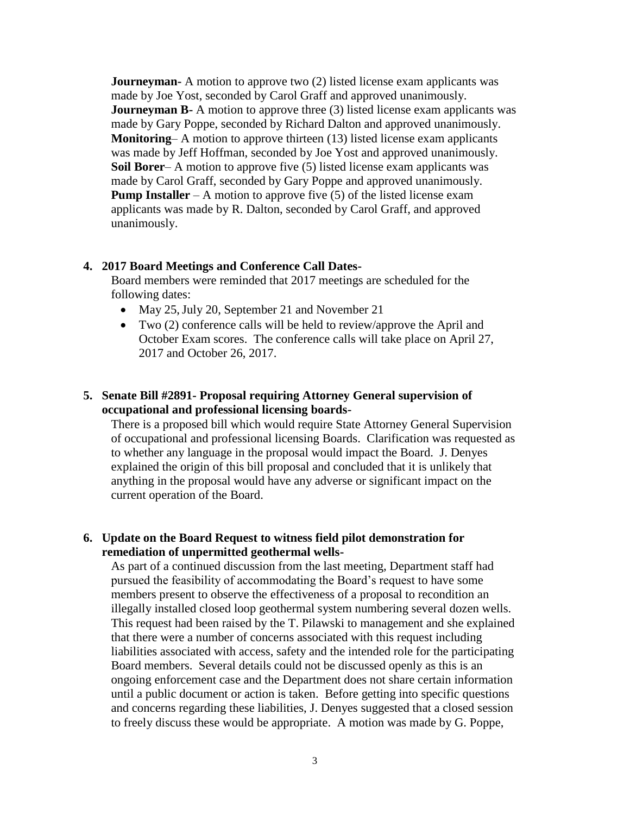**Journeyman-** A motion to approve two (2) listed license exam applicants was made by Joe Yost, seconded by Carol Graff and approved unanimously. **Journeyman B-** A motion to approve three (3) listed license exam applicants was made by Gary Poppe, seconded by Richard Dalton and approved unanimously. **Monitoring–** A motion to approve thirteen (13) listed license exam applicants was made by Jeff Hoffman, seconded by Joe Yost and approved unanimously. **Soil Borer–** A motion to approve five (5) listed license exam applicants was made by Carol Graff, seconded by Gary Poppe and approved unanimously. **Pump Installer** – A motion to approve five (5) of the listed license exam applicants was made by R. Dalton, seconded by Carol Graff, and approved unanimously.

#### **4. 2017 Board Meetings and Conference Call Dates-**

Board members were reminded that 2017 meetings are scheduled for the following dates:

- May 25, July 20, September 21 and November 21
- Two (2) conference calls will be held to review/approve the April and October Exam scores. The conference calls will take place on April 27, 2017 and October 26, 2017.

# **5. Senate Bill #2891- Proposal requiring Attorney General supervision of occupational and professional licensing boards-**

There is a proposed bill which would require State Attorney General Supervision of occupational and professional licensing Boards. Clarification was requested as to whether any language in the proposal would impact the Board. J. Denyes explained the origin of this bill proposal and concluded that it is unlikely that anything in the proposal would have any adverse or significant impact on the current operation of the Board.

# **6. Update on the Board Request to witness field pilot demonstration for remediation of unpermitted geothermal wells-**

As part of a continued discussion from the last meeting, Department staff had pursued the feasibility of accommodating the Board's request to have some members present to observe the effectiveness of a proposal to recondition an illegally installed closed loop geothermal system numbering several dozen wells. This request had been raised by the T. Pilawski to management and she explained that there were a number of concerns associated with this request including liabilities associated with access, safety and the intended role for the participating Board members. Several details could not be discussed openly as this is an ongoing enforcement case and the Department does not share certain information until a public document or action is taken. Before getting into specific questions and concerns regarding these liabilities, J. Denyes suggested that a closed session to freely discuss these would be appropriate. A motion was made by G. Poppe,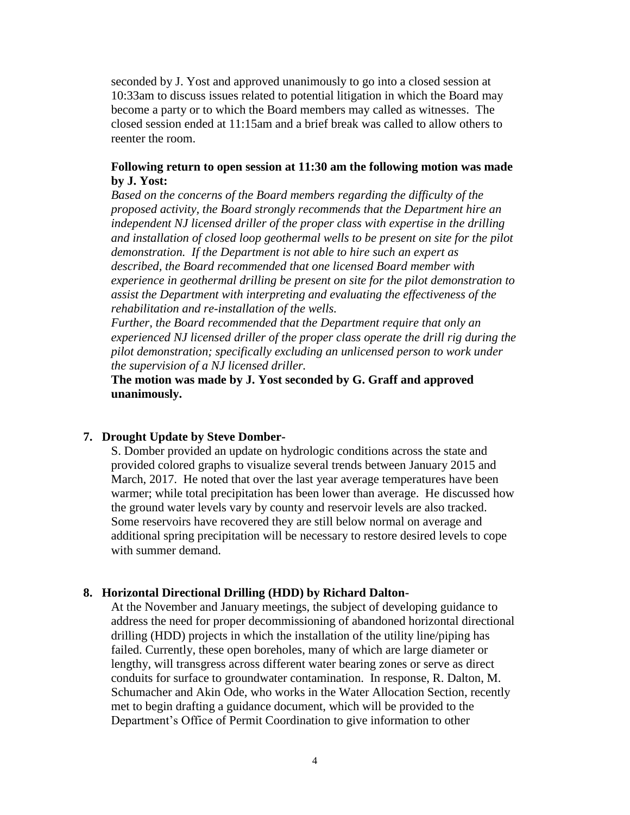seconded by J. Yost and approved unanimously to go into a closed session at 10:33am to discuss issues related to potential litigation in which the Board may become a party or to which the Board members may called as witnesses. The closed session ended at 11:15am and a brief break was called to allow others to reenter the room.

# **Following return to open session at 11:30 am the following motion was made by J. Yost:**

*Based on the concerns of the Board members regarding the difficulty of the proposed activity, the Board strongly recommends that the Department hire an independent NJ licensed driller of the proper class with expertise in the drilling and installation of closed loop geothermal wells to be present on site for the pilot demonstration. If the Department is not able to hire such an expert as described, the Board recommended that one licensed Board member with experience in geothermal drilling be present on site for the pilot demonstration to assist the Department with interpreting and evaluating the effectiveness of the rehabilitation and re-installation of the wells.* 

*Further, the Board recommended that the Department require that only an experienced NJ licensed driller of the proper class operate the drill rig during the pilot demonstration; specifically excluding an unlicensed person to work under the supervision of a NJ licensed driller.* 

**The motion was made by J. Yost seconded by G. Graff and approved unanimously.**

### **7. Drought Update by Steve Domber-**

S. Domber provided an update on hydrologic conditions across the state and provided colored graphs to visualize several trends between January 2015 and March, 2017. He noted that over the last year average temperatures have been warmer; while total precipitation has been lower than average. He discussed how the ground water levels vary by county and reservoir levels are also tracked. Some reservoirs have recovered they are still below normal on average and additional spring precipitation will be necessary to restore desired levels to cope with summer demand.

#### **8. Horizontal Directional Drilling (HDD) by Richard Dalton-**

At the November and January meetings, the subject of developing guidance to address the need for proper decommissioning of abandoned horizontal directional drilling (HDD) projects in which the installation of the utility line/piping has failed. Currently, these open boreholes, many of which are large diameter or lengthy, will transgress across different water bearing zones or serve as direct conduits for surface to groundwater contamination. In response, R. Dalton, M. Schumacher and Akin Ode, who works in the Water Allocation Section, recently met to begin drafting a guidance document, which will be provided to the Department's Office of Permit Coordination to give information to other